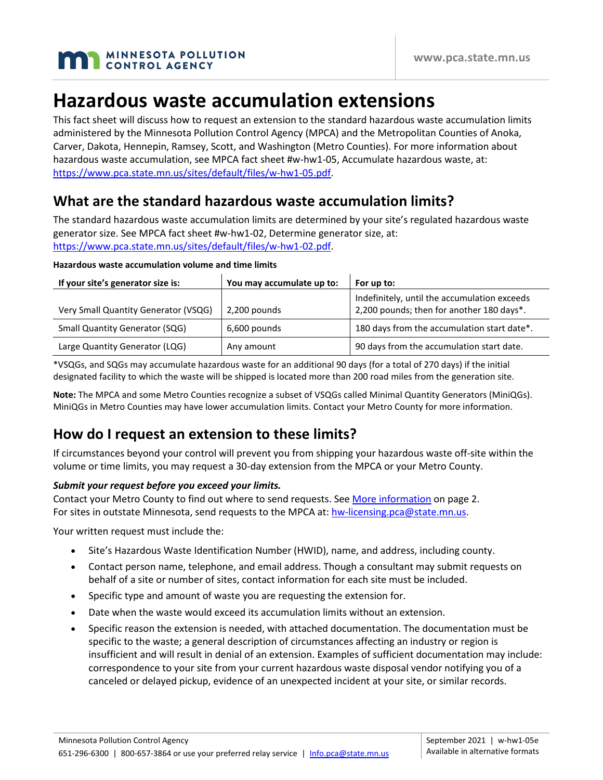

# **Hazardous waste accumulation extensions**

This fact sheet will discuss how to request an extension to the standard hazardous waste accumulation limits administered by the Minnesota Pollution Control Agency (MPCA) and the Metropolitan Counties of Anoka, Carver, Dakota, Hennepin, Ramsey, Scott, and Washington (Metro Counties). For more information about hazardous waste accumulation, see MPCA fact sheet #w-hw1-05, Accumulate hazardous waste, at: [https://www.pca.state.mn.us/sites/default/files/w-hw1-05.pdf.](https://www.pca.state.mn.us/sites/default/files/w-hw1-05.pdf)

### **What are the standard hazardous waste accumulation limits?**

The standard hazardous waste accumulation limits are determined by your site's regulated hazardous waste generator size. See MPCA fact sheet #w-hw1-02, Determine generator size, at: [https://www.pca.state.mn.us/sites/default/files/w-hw1-02.pdf.](https://www.pca.state.mn.us/sites/default/files/w-hw1-02.pdf)

| Hazardous waste accumulation volume and time limits |  |  |  |
|-----------------------------------------------------|--|--|--|
|-----------------------------------------------------|--|--|--|

| If your site's generator size is:     | You may accumulate up to: | For up to:                                   |
|---------------------------------------|---------------------------|----------------------------------------------|
|                                       |                           | Indefinitely, until the accumulation exceeds |
| Very Small Quantity Generator (VSQG)  | 2,200 pounds              | 2,200 pounds; then for another 180 days*.    |
| <b>Small Quantity Generator (SQG)</b> | 6,600 pounds              | 180 days from the accumulation start date*.  |
| Large Quantity Generator (LQG)        | Any amount                | 90 days from the accumulation start date.    |

\*VSQGs, and SQGs may accumulate hazardous waste for an additional 90 days (for a total of 270 days) if the initial designated facility to which the waste will be shipped is located more than 200 road miles from the generation site.

**Note:** The MPCA and some Metro Counties recognize a subset of VSQGs called Minimal Quantity Generators (MiniQGs). MiniQGs in Metro Counties may have lower accumulation limits. Contact your Metro County for more information.

# **How do I request an extension to these limits?**

If circumstances beyond your control will prevent you from shipping your hazardous waste off-site within the volume or time limits, you may request a 30-day extension from the MPCA or your Metro County.

### *Submit your request before you exceed your limits.*

Contact your Metro County to find out where to send requests. See [More information](#page-1-0) on page 2. For sites in outstate Minnesota, send requests to the MPCA at[: hw-licensing.pca@state.mn.us.](mailto:hw-licensing.pca@state.mn.us)

Your written request must include the:

- Site's Hazardous Waste Identification Number (HWID), name, and address, including county.
- Contact person name, telephone, and email address. Though a consultant may submit requests on behalf of a site or number of sites, contact information for each site must be included.
- Specific type and amount of waste you are requesting the extension for.
- Date when the waste would exceed its accumulation limits without an extension.
- Specific reason the extension is needed, with attached documentation. The documentation must be specific to the waste; a general description of circumstances affecting an industry or region is insufficient and will result in denial of an extension. Examples of sufficient documentation may include: correspondence to your site from your current hazardous waste disposal vendor notifying you of a canceled or delayed pickup, evidence of an unexpected incident at your site, or similar records.